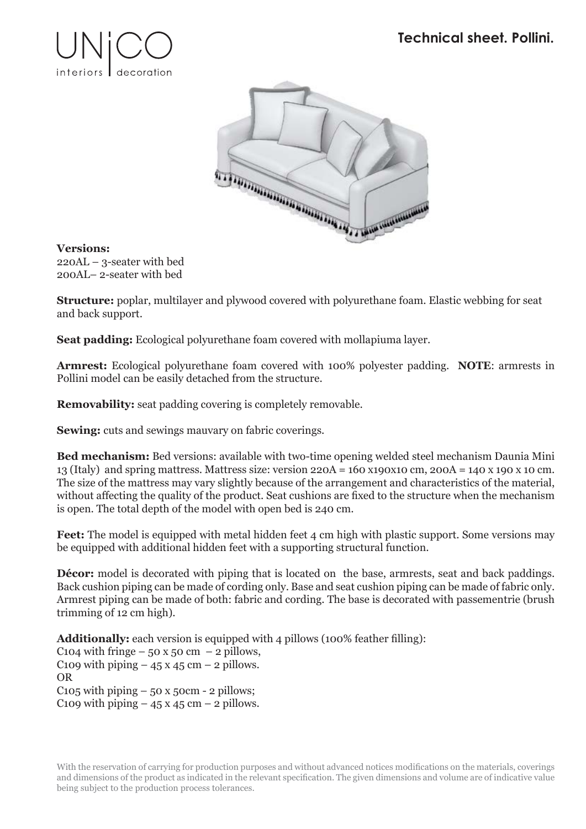



## **Versions:**

220AL – 3-seater with bed 200AL– 2-seater with bed

**Structure:** poplar, multilayer and plywood covered with polyurethane foam. Elastic webbing for seat and back support.

**Seat padding:** Ecological polyurethane foam covered with mollapiuma layer.

**Armrest:** Ecological polyurethane foam covered with 100% polyester padding. **NOTE**: armrests in Pollini model can be easily detached from the structure.

**Removability:** seat padding covering is completely removable.

**Sewing:** cuts and sewings mauvary on fabric coverings.

**Bed mechanism:** Bed versions: available with two-time opening welded steel mechanism Daunia Mini 13 (Italy) and spring mattress. Mattress size: version 220A = 160 x190x10 cm, 200A = 140 x 190 x 10 cm. The size of the mattress may vary slightly because of the arrangement and characteristics of the material, without affecting the quality of the product. Seat cushions are fixed to the structure when the mechanism is open. The total depth of the model with open bed is 240 cm.

**Feet:** The model is equipped with metal hidden feet 4 cm high with plastic support. Some versions may be equipped with additional hidden feet with a supporting structural function.

**Décor:** model is decorated with piping that is located on the base, armrests, seat and back paddings. Back cushion piping can be made of cording only. Base and seat cushion piping can be made of fabric only. Armrest piping can be made of both: fabric and cording. The base is decorated with passementrie (brush trimming of 12 cm high).

**Additionally:** each version is equipped with 4 pillows (100% feather filling):

C104 with fringe – 50 x 50 cm – 2 pillows, C109 with piping  $-45 \times 45$  cm  $-2$  pillows. OR C105 with piping  $-50x50cm - 2$  pillows; C109 with piping  $-45 \times 45$  cm  $-2$  pillows.

With the reservation of carrying for production purposes and without advanced notices modifications on the materials, coverings and dimensions of the product as indicated in the relevant specification. The given dimensions and volume are of indicative value being subject to the production process tolerances.